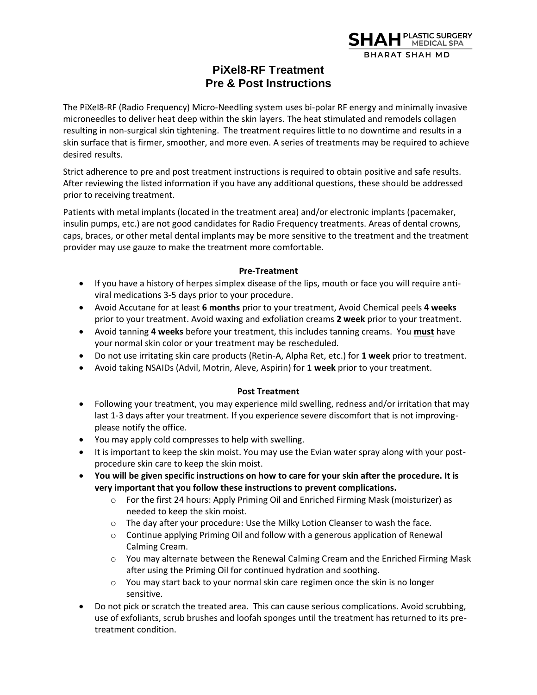

## **PiXel8-RF Treatment Pre & Post Instructions**

The PiXel8-RF (Radio Frequency) Micro-Needling system uses bi-polar RF energy and minimally invasive microneedles to deliver heat deep within the skin layers. The heat stimulated and remodels collagen resulting in non-surgical skin tightening. The treatment requires little to no downtime and results in a skin surface that is firmer, smoother, and more even. A series of treatments may be required to achieve desired results.

Strict adherence to pre and post treatment instructions is required to obtain positive and safe results. After reviewing the listed information if you have any additional questions, these should be addressed prior to receiving treatment.

Patients with metal implants (located in the treatment area) and/or electronic implants (pacemaker, insulin pumps, etc.) are not good candidates for Radio Frequency treatments. Areas of dental crowns, caps, braces, or other metal dental implants may be more sensitive to the treatment and the treatment provider may use gauze to make the treatment more comfortable.

## **Pre-Treatment**

- If you have a history of herpes simplex disease of the lips, mouth or face you will require antiviral medications 3-5 days prior to your procedure.
- Avoid Accutane for at least **6 months** prior to your treatment, Avoid Chemical peels **4 weeks** prior to your treatment. Avoid waxing and exfoliation creams **2 week** prior to your treatment.
- Avoid tanning **4 weeks** before your treatment, this includes tanning creams. You **must** have your normal skin color or your treatment may be rescheduled.
- Do not use irritating skin care products (Retin-A, Alpha Ret, etc.) for **1 week** prior to treatment.
- Avoid taking NSAIDs (Advil, Motrin, Aleve, Aspirin) for **1 week** prior to your treatment.

## **Post Treatment**

- Following your treatment, you may experience mild swelling, redness and/or irritation that may last 1-3 days after your treatment. If you experience severe discomfort that is not improvingplease notify the office.
- You may apply cold compresses to help with swelling.
- It is important to keep the skin moist. You may use the Evian water spray along with your postprocedure skin care to keep the skin moist.
- **You will be given specific instructions on how to care for your skin after the procedure. It is very important that you follow these instructions to prevent complications.** 
	- o For the first 24 hours: Apply Priming Oil and Enriched Firming Mask (moisturizer) as needed to keep the skin moist.
	- $\circ$  The day after your procedure: Use the Milky Lotion Cleanser to wash the face.
	- o Continue applying Priming Oil and follow with a generous application of Renewal Calming Cream.
	- $\circ$  You may alternate between the Renewal Calming Cream and the Enriched Firming Mask after using the Priming Oil for continued hydration and soothing.
	- $\circ$  You may start back to your normal skin care regimen once the skin is no longer sensitive.
- Do not pick or scratch the treated area. This can cause serious complications. Avoid scrubbing, use of exfoliants, scrub brushes and loofah sponges until the treatment has returned to its pretreatment condition.